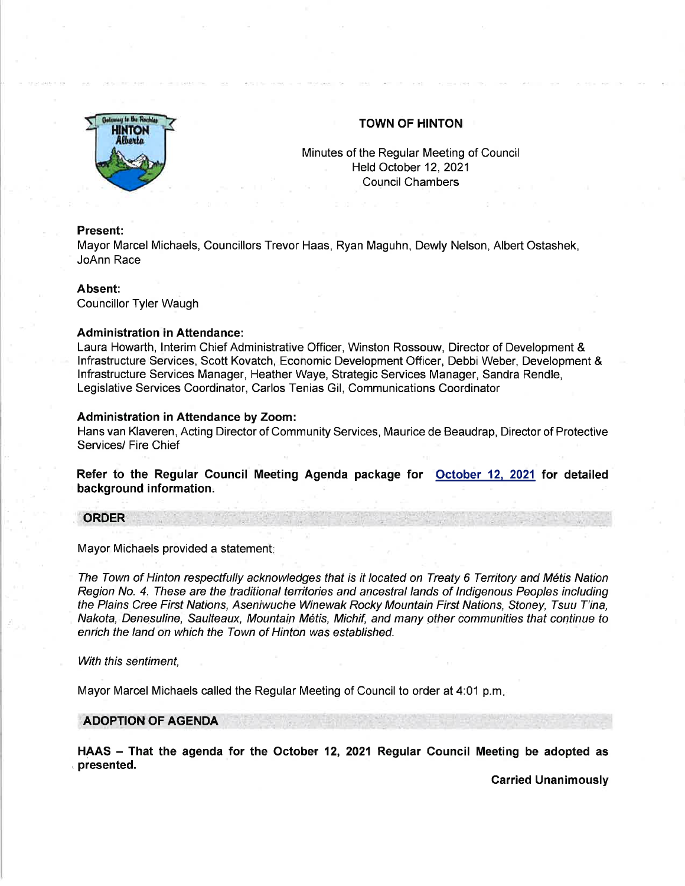

# TOWN OF HINTON

Minutes of the Regular Meeting of Council Held October 12,2021 Council Chambers

### Present:

Mayor Marcel Michaels, Councillors Trevor Haas, Ryan Maguhn, Dewly Nelson, Albert Ostashek, JoAnn Race

### Absent:

Councillor Tyler Waugh

## Administration in Attendance:

Laura Howarth, lnterim Chief Administrative Officer, Winston Rossouw, Director of Development & lnfrastructure Services, Scott Kovatch, Economic Development Officer, Debbi Weber, Development & lnfrastructure Services Manager, Heather Waye, Strategic Services Manager, Sandra Rendle, Legislative Services Coordinator, Carlos Tenias Gil, Communications Coordinator

## Administration in Attendance by Zoom:

Hans van Klaveren, Acting Director of Community Services, Maurice de Beaudrap, Director of Protective Services/ Fire Chief

Refer to the Regular Gouncil Meeting Agenda package for October 12. 2021 for detailed background information.

## **ORDER**

Mayor Michaels provided a statement

The Town of Hinton respectfully acknowledges that is it located on Treaty 6 Territory and Metis Nation Region No. 4. These are the traditional territories and ancestral lands of Indigenous Peoples including the Plains Cree First Nations, Aseniwuche Winewak Rocky Mountain First Nations, Stoney, Tsuu T'ina, Nakota, Denesuline, Saulteaux, Mountain Métis, Michif, and many other communities that continue to enrich the land on which the Town of Hinton was established.

With this sentiment.

Mayor Marcel Michaels called the Regular Meeting of Council to order at 4:01 p.m

ADOPTION OF AGENDA

HAAS - That the agenda for the October 12, 2021 Regular Council Meeting be adopted as , presented.

Carried Unanimously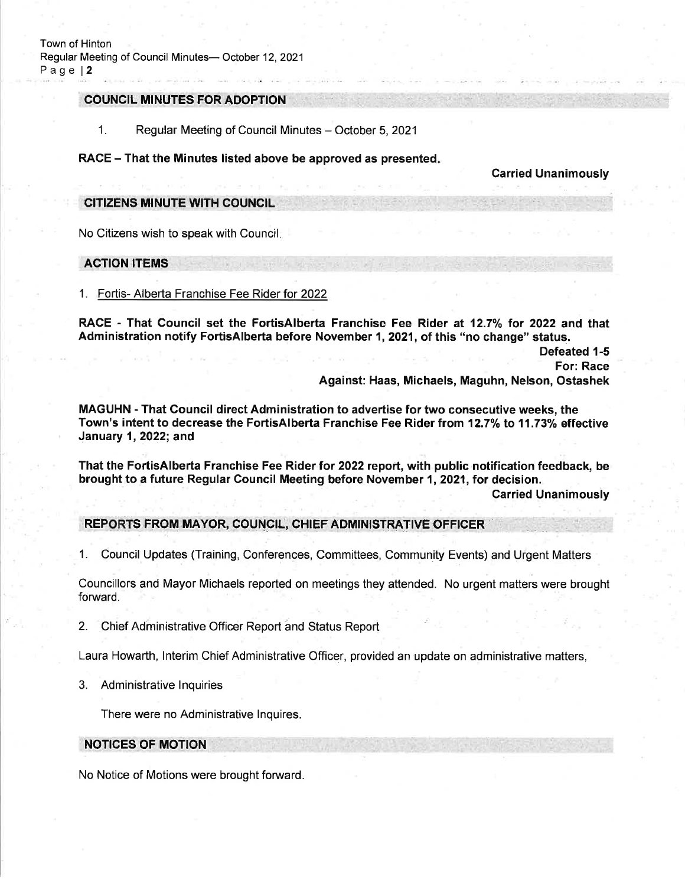## COUNCIL MINUTES FOR ADOPTION

1. Regular Meeting of Council Minutes - October 5, 2021

### RACE – That the Minutes listed above be approved as presented.

### Garried Unanimously

# CITIZENS MINUTE WTH COUNCIL

No Citizens wish to speak with Council

## ACTION ITEMS

## 1. Fortis- Alberta Franchise Fee Rider for <sup>2022</sup>

RACE - That Council set the FortisAlberta Franchise Fee Rider at 12.7% for 2022 and that Administration notify FortisAlberta before November 1,2021, of this "no change" status.

> Defeated 1-5 For: Race Against: Haas, Michaels, Maguhn, Nelson, Ostashek

MAGUHN - That Council direct Administration to advertise for two consecutive weeks, the Town's intent to decrease the FortisAlberta Franchise Fee Rider from 12.7% to 11.73% effective January 1,2022; and

That the FortisAlberta Franchise Fee Rider for 2022 report, with public notification feedback, be brought to a future Regular Council Meeting before November 1,2021, for decision.

Garried Unanimously

# REPORTS FROM MAYOR, COUNCIL, CHIEF ADMINISTRATIVE OFFICER

1. Council Updates (Training, Conferences, Committees, Community Events) and Urgent Matters

Councillors and Mayor Michaels reported on meetings they attended. No urgent matters were brought forward.

2. Chief Administrative Officer Report and Status Report

Laura Howarth, lnterim Chief Administrative Officer, provided an update on administrative matters,

3. Administrative lnquiries

There were no Administrative lnquires.

# NOTICES OF MOTION

No Notice of Motions were brought forward.